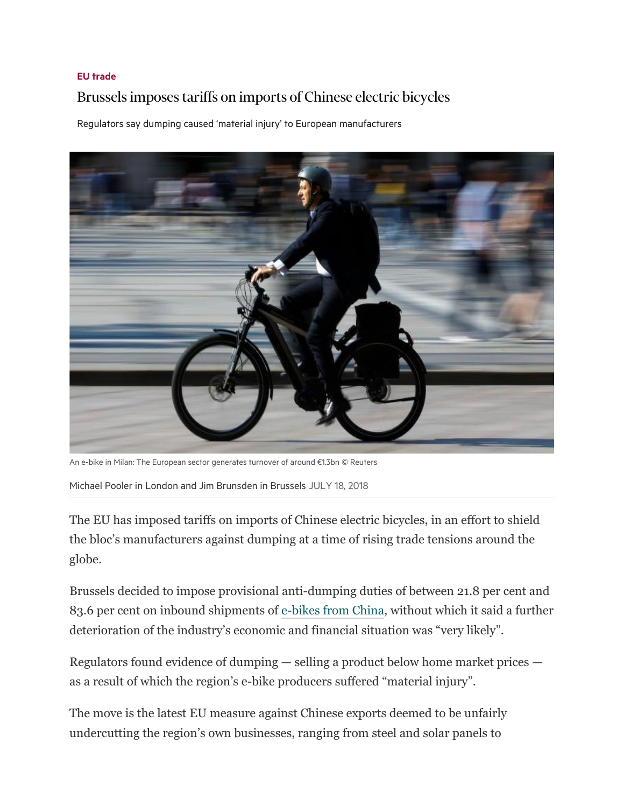## EU trade

## Brussels imposes tariffs on imports of Chinese electric bicycles

Regulators say dumping caused 'material injury' to European manufacturers



An e-bike in Milan: The European sector generates turnover of around €1.3bn © Reuters

Michael Pooler in London and Jim Brunsden in Brussels JULY 18, 2018

The EU has imposed tariffs on imports of Chinese electric bicycles, in an effort to shield the bloc's manufacturers against dumping at a time of rising trade tensions around the globe.

Brussels decided to impose provisional anti-dumping duties of between 21.8 per cent and 83.6 per cent on inbound shipments of e-bikes from China, without which it said a further deterioration of the industry's economic and financial situation was "very likely".

Regulators found evidence of dumping — selling a product below home market prices as a result of which the region's e-bike producers suffered "material injury".

The move is the latest EU measure against Chinese exports deemed to be unfairly undercutting the region's own businesses, ranging from steel and solar panels to